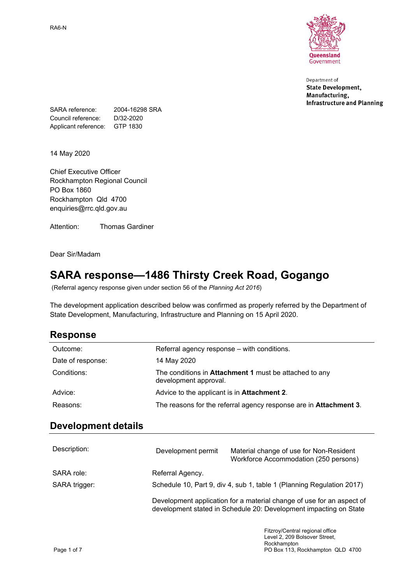RA6-N



Department of **State Development,** Manufacturing, **Infrastructure and Planning** 

SARA reference: 2004-16298 SRA Council reference: D/32-2020 Applicant reference: GTP 1830

14 May 2020

Chief Executive Officer Rockhampton Regional Council PO Box 1860 Rockhampton Qld 4700 enquiries@rrc.qld.gov.au

Attention: Thomas Gardiner

Dear Sir/Madam

## **SARA response—1486 Thirsty Creek Road, Gogango**

(Referral agency response given under section 56 of the *Planning Act 2016*)

The development application described below was confirmed as properly referred by the Department of State Development, Manufacturing, Infrastructure and Planning on 15 April 2020.

### **Response**

| Outcome:          | Referral agency response – with conditions.                                            |
|-------------------|----------------------------------------------------------------------------------------|
| Date of response: | 14 May 2020                                                                            |
| Conditions:       | The conditions in <b>Attachment 1</b> must be attached to any<br>development approval. |
| Advice:           | Advice to the applicant is in Attachment 2.                                            |
| Reasons:          | The reasons for the referral agency response are in <b>Attachment 3</b> .              |

## **Development details**

| Description:  | Development permit                                                                                                                         | Material change of use for Non-Resident<br>Workforce Accommodation (250 persons) |  |
|---------------|--------------------------------------------------------------------------------------------------------------------------------------------|----------------------------------------------------------------------------------|--|
| SARA role:    | Referral Agency.                                                                                                                           |                                                                                  |  |
| SARA trigger: | Schedule 10, Part 9, div 4, sub 1, table 1 (Planning Regulation 2017)                                                                      |                                                                                  |  |
|               | Development application for a material change of use for an aspect of<br>development stated in Schedule 20: Development impacting on State |                                                                                  |  |
|               |                                                                                                                                            | Fitzroy/Central regional office                                                  |  |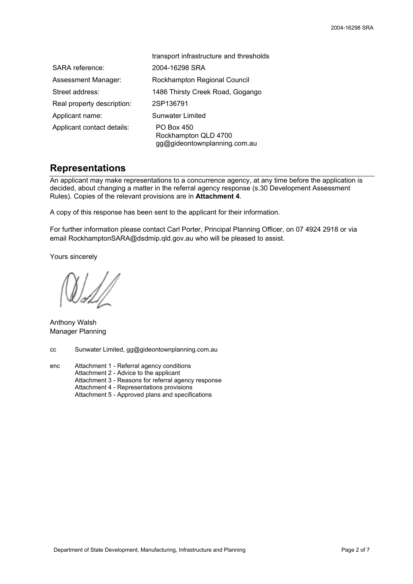|                            | transport infrastructure and thresholds                            |
|----------------------------|--------------------------------------------------------------------|
| SARA reference:            | 2004-16298 SRA                                                     |
| Assessment Manager:        | Rockhampton Regional Council                                       |
| Street address:            | 1486 Thirsty Creek Road, Gogango                                   |
| Real property description: | 2SP136791                                                          |
| Applicant name:            | Sunwater Limited                                                   |
| Applicant contact details: | PO Box 450<br>Rockhampton QLD 4700<br>gg@gideontownplanning.com.au |

#### **Representations**

An applicant may make representations to a concurrence agency, at any time before the application is decided, about changing a matter in the referral agency response (s.30 Development Assessment Rules). Copies of the relevant provisions are in **Attachment 4**.

A copy of this response has been sent to the applicant for their information.

For further information please contact Carl Porter, Principal Planning Officer, on 07 4924 2918 or via email RockhamptonSARA@dsdmip.qld.gov.au who will be pleased to assist.

Yours sincerely

Anthony Walsh Manager Planning

cc Sunwater Limited, gg@gideontownplanning.com.au

enc Attachment 1 - Referral agency conditions Attachment 2 - Advice to the applicant Attachment 3 - Reasons for referral agency response Attachment 4 - Representations provisions Attachment 5 - Approved plans and specifications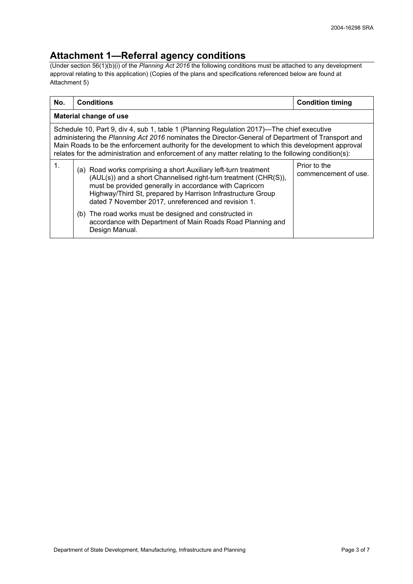### **Attachment 1—Referral agency conditions**

(Under section 56(1)(b)(i) of the *Planning Act 2016* the following conditions must be attached to any development approval relating to this application) (Copies of the plans and specifications referenced below are found at Attachment 5)

| No.           | <b>Conditions</b>                                                                                                                                                                                                                                                                                                                                                                                           | <b>Condition timing</b>              |  |  |  |
|---------------|-------------------------------------------------------------------------------------------------------------------------------------------------------------------------------------------------------------------------------------------------------------------------------------------------------------------------------------------------------------------------------------------------------------|--------------------------------------|--|--|--|
|               | Material change of use                                                                                                                                                                                                                                                                                                                                                                                      |                                      |  |  |  |
|               | Schedule 10, Part 9, div 4, sub 1, table 1 (Planning Regulation 2017)—The chief executive<br>administering the Planning Act 2016 nominates the Director-General of Department of Transport and<br>Main Roads to be the enforcement authority for the development to which this development approval<br>relates for the administration and enforcement of any matter relating to the following condition(s): |                                      |  |  |  |
| $\mathbf 1$ . | (a) Road works comprising a short Auxiliary left-turn treatment<br>(AUL(s)) and a short Channelised right-turn treatment (CHR(S)),<br>must be provided generally in accordance with Capricorn<br>Highway/Third St, prepared by Harrison Infrastructure Group<br>dated 7 November 2017, unreferenced and revision 1.                                                                                         | Prior to the<br>commencement of use. |  |  |  |
|               | (b) The road works must be designed and constructed in<br>accordance with Department of Main Roads Road Planning and<br>Design Manual.                                                                                                                                                                                                                                                                      |                                      |  |  |  |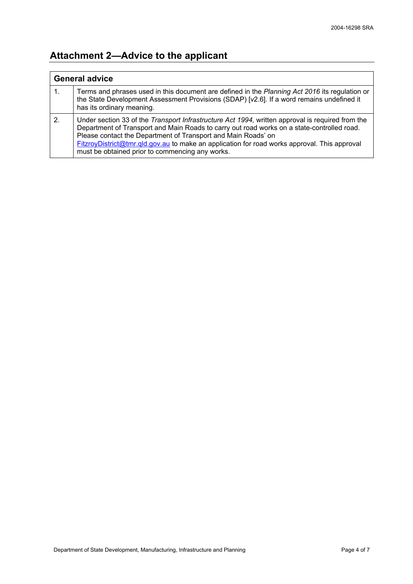# **Attachment 2—Advice to the applicant**

| <b>General advice</b> |                                                                                                                                                                                                                                                                                                                                                                                                                    |
|-----------------------|--------------------------------------------------------------------------------------------------------------------------------------------------------------------------------------------------------------------------------------------------------------------------------------------------------------------------------------------------------------------------------------------------------------------|
|                       | Terms and phrases used in this document are defined in the Planning Act 2016 its regulation or<br>the State Development Assessment Provisions (SDAP) [v2.6]. If a word remains undefined it<br>has its ordinary meaning.                                                                                                                                                                                           |
| $\mathbf{2}$          | Under section 33 of the Transport Infrastructure Act 1994, written approval is required from the<br>Department of Transport and Main Roads to carry out road works on a state-controlled road.<br>Please contact the Department of Transport and Main Roads' on<br>FitzroyDistrict@tmr.qld.gov.au to make an application for road works approval. This approval<br>must be obtained prior to commencing any works. |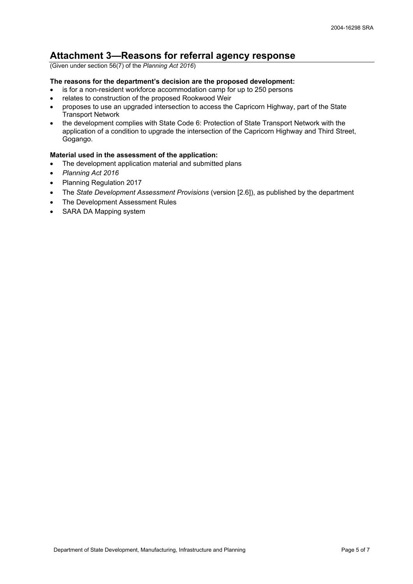### **Attachment 3—Reasons for referral agency response**

(Given under section 56(7) of the *Planning Act 2016*)

#### **The reasons for the department's decision are the proposed development:**

- is for a non-resident workforce accommodation camp for up to 250 persons
- relates to construction of the proposed Rookwood Weir
- proposes to use an upgraded intersection to access the Capricorn Highway, part of the State Transport Network
- the development complies with State Code 6: Protection of State Transport Network with the application of a condition to upgrade the intersection of the Capricorn Highway and Third Street, Gogango.

#### **Material used in the assessment of the application:**

- The development application material and submitted plans
- *Planning Act 2016*
- Planning Regulation 2017
- The *State Development Assessment Provisions* (version [2.6]), as published by the department
- The Development Assessment Rules
- SARA DA Mapping system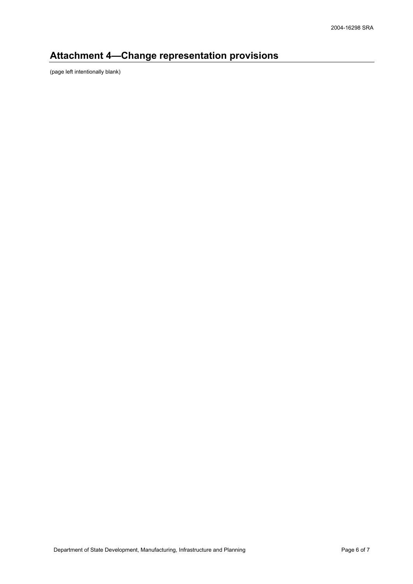# **Attachment 4—Change representation provisions**

(page left intentionally blank)